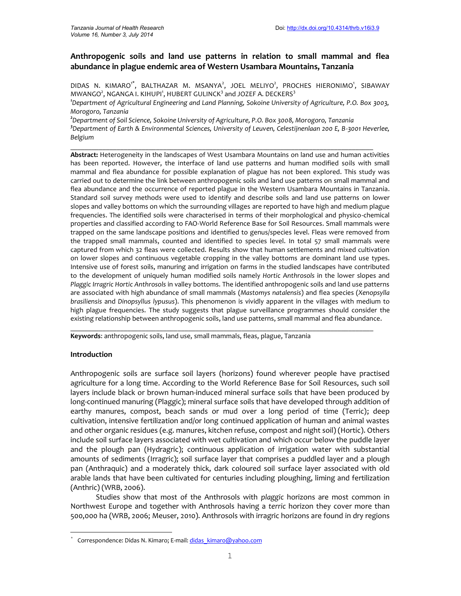# **Anthropogenic soils and land use patterns in relation to small mammal and flea abundance in plague endemic area of Western Usambara Mountains, Tanzania**

DIDAS N. KIMARO'<sup>\*</sup>, BALTHAZAR M. MSANYA<sup>2</sup>, JOEL MELIYO<sup>2</sup>, PROCHES HIERONIMO', SIBAWAY MWANGO $^2$ , NGANGA I. KIHUPI $^1$ , HUBERT GULINCK $^3$  and JOZEF A. DECKERS $^3$ 

*<sup>1</sup>Department of Agricultural Engineering and Land Planning, Sokoine University of Agriculture, P.O. Box 3003, Morogoro, Tanzania*

*<sup>2</sup>Department of Soil Science, Sokoine University of Agriculture, P.O. Box 3008, Morogoro, Tanzania <sup>3</sup>Department of Earth & Environmental Sciences, University of Leuven, Celestijnenlaan 200 E, B-3001 Heverlee, Belgium*

\_\_\_\_\_\_\_\_\_\_\_\_\_\_\_\_\_\_\_\_\_\_\_\_\_\_\_\_\_\_\_\_\_\_\_\_\_\_\_\_\_\_\_\_\_\_\_\_\_\_\_\_\_\_\_\_\_\_\_\_\_\_\_\_\_\_\_\_\_\_\_\_\_\_\_\_\_\_\_\_\_\_\_\_\_ **Abstract:** Heterogeneity in the landscapes of West Usambara Mountains on land use and human activities has been reported. However, the interface of land use patterns and human modified soils with small mammal and flea abundance for possible explanation of plague has not been explored. This study was carried out to determine the link between anthropogenic soils and land use patterns on small mammal and flea abundance and the occurrence of reported plague in the Western Usambara Mountains in Tanzania. Standard soil survey methods were used to identify and describe soils and land use patterns on lower slopes and valley bottoms on which the surrounding villages are reported to have high and medium plague frequencies. The identified soils were characterised in terms of their morphological and physico-chemical properties and classified according to FAO-World Reference Base for Soil Resources. Small mammals were trapped on the same landscape positions and identified to genus/species level. Fleas were removed from the trapped small mammals, counted and identified to species level. In total 57 small mammals were captured from which 32 fleas were collected. Results show that human settlements and mixed cultivation on lower slopes and continuous vegetable cropping in the valley bottoms are dominant land use types. Intensive use of forest soils, manuring and irrigation on farms in the studied landscapes have contributed to the development of uniquely human modified soils namely *Hortic* A*nthrosols* in the lower slopes and *Plaggic Irragric Hortic Anthrosols* in valley bottoms. The identified anthropogenic soils and land use patterns are associated with high abundance of small mammals (*Mastomys natalensis*) and flea species (*Xenopsylla brasiliensis* and *Dinopsyllus lypusus*). This phenomenon is vividly apparent in the villages with medium to high plague frequencies. The study suggests that plague surveillance programmes should consider the existing relationship between anthropogenic soils, land use patterns, small mammal and flea abundance.

 $\_$  , and the state of the state of the state of the state of the state of the state of the state of the state of the state of the state of the state of the state of the state of the state of the state of the state of the

**Keywords**: anthropogenic soils, land use, small mammals, fleas, plague, Tanzania

# **Introduction**

Anthropogenic soils are surface soil layers (horizons) found wherever people have practised agriculture for a long time. According to the World Reference Base for Soil Resources, such soil layers include black or brown human-induced mineral surface soils that have been produced by long-continued manuring (Plaggic); mineral surface soils that have developed through addition of earthy manures, compost, beach sands or mud over a long period of time (Terric); deep cultivation, intensive fertilization and/or long continued application of human and animal wastes and other organic residues (e.g. manures, kitchen refuse, compost and night soil) (Hortic). Others include soil surface layers associated with wet cultivation and which occur below the puddle layer and the plough pan (Hydragric); continuous application of irrigation water with substantial amounts of sediments (Irragric); soil surface layer that comprises a puddled layer and a plough pan (Anthraquic) and a moderately thick, dark coloured soil surface layer associated with old arable lands that have been cultivated for centuries including ploughing, liming and fertilization (Anthric) (WRB, 2006).

Studies show that most of the Anthrosols with *plaggic* horizons are most common in Northwest Europe and together with Anthrosols having a *terric* horizon they cover more than 500,000 ha (WRB, 2006; Meuser, 2010). Anthrosols with irragric horizons are found in dry regions

Correspondence: Didas N. Kimaro; E-mail: didas\_kimaro@yahoo.com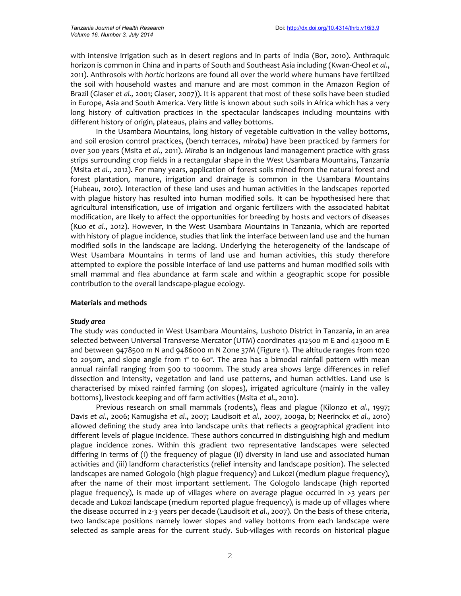with intensive irrigation such as in desert regions and in parts of India (Bor, 2010). Anthraquic horizon is common in China and in parts of South and Southeast Asia including (Kwan-Cheol *et al*., 2011). Anthrosols with *hortic* horizons are found all over the world where humans have fertilized the soil with household wastes and manure and are most common in the Amazon Region of Brazil (Glaser *et al.,* 2001; Glaser, 2007)). It is apparent that most of these soils have been studied in Europe, Asia and South America. Very little is known about such soils in Africa which has a very long history of cultivation practices in the spectacular landscapes including mountains with different history of origin, plateaus, plains and valley bottoms.

In the Usambara Mountains, long history of vegetable cultivation in the valley bottoms, and soil erosion control practices, (bench terraces, *miraba*) have been practiced by farmers for over 300 years (Msita *et al.,* 2011). *Miraba* is an indigenous land management practice with grass strips surrounding crop fields in a rectangular shape in the West Usambara Mountains, Tanzania (Msita *et al.,* 2012). For many years, application of forest soils mined from the natural forest and forest plantation, manure, irrigation and drainage is common in the Usambara Mountains (Hubeau, 2010). Interaction of these land uses and human activities in the landscapes reported with plague history has resulted into human modified soils. It can be hypothesised here that agricultural intensification, use of irrigation and organic fertilizers with the associated habitat modification, are likely to affect the opportunities for breeding by hosts and vectors of diseases (Kuo *et al*., 2012). However, in the West Usambara Mountains in Tanzania, which are reported with history of plague incidence, studies that link the interface between land use and the human modified soils in the landscape are lacking. Underlying the heterogeneity of the landscape of West Usambara Mountains in terms of land use and human activities, this study therefore attempted to explore the possible interface of land use patterns and human modified soils with small mammal and flea abundance at farm scale and within a geographic scope for possible contribution to the overall landscape-plague ecology.

### **Materials and methods**

# *Study area*

The study was conducted in West Usambara Mountains, Lushoto District in Tanzania, in an area selected between Universal Transverse Mercator (UTM) coordinates 412500 m E and 423000 m E and between 9478500 m N and 9486000 m N Zone 37M (Figure 1). The altitude ranges from 1020 to 2050m, and slope angle from 1° to 60°. The area has a bimodal rainfall pattern with mean annual rainfall ranging from 500 to 1000mm. The study area shows large differences in relief dissection and intensity, vegetation and land use patterns, and human activities. Land use is characterised by mixed rainfed farming (on slopes), irrigated agriculture (mainly in the valley bottoms), livestock keeping and off farm activities (Msita *et al*., 2010).

Previous research on small mammals (rodents), fleas and plague (Kilonzo *et al*., 1997; Davis *et al.*, 2006; Kamugisha *et al*., 2007; Laudisoit *et al.,* 2007, 2009a, b; Neerinckx *et al*., 2010) allowed defining the study area into landscape units that reflects a geographical gradient into different levels of plague incidence. These authors concurred in distinguishing high and medium plague incidence zones. Within this gradient two representative landscapes were selected differing in terms of (i) the frequency of plague (ii) diversity in land use and associated human activities and (iii) landform characteristics (relief intensity and landscape position). The selected landscapes are named Gologolo (high plague frequency) and Lukozi (medium plague frequency), after the name of their most important settlement. The Gologolo landscape (high reported plague frequency), is made up of villages where on average plague occurred in >3 years per decade and Lukozi landscape (medium reported plague frequency), is made up of villages where the disease occurred in 2-3 years per decade (Laudisoit *et al*., 2007). On the basis of these criteria, two landscape positions namely lower slopes and valley bottoms from each landscape were selected as sample areas for the current study. Sub-villages with records on historical plague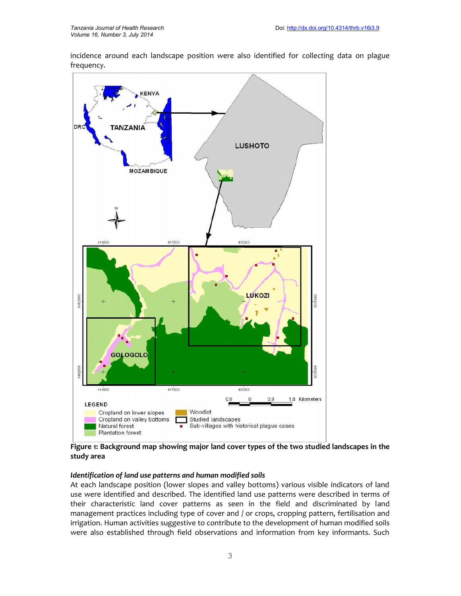incidence around each landscape position were also identified for collecting data on plague frequency.



**Figure 1: Background map showing major land cover types of the two studied landscapes in the study area**

# *Identification of land use patterns and human modified soils*

At each landscape position (lower slopes and valley bottoms) various visible indicators of land use were identified and described. The identified land use patterns were described in terms of their characteristic land cover patterns as seen in the field and discriminated by land management practices including type of cover and / or crops, cropping pattern, fertilisation and irrigation. Human activities suggestive to contribute to the development of human modified soils were also established through field observations and information from key informants. Such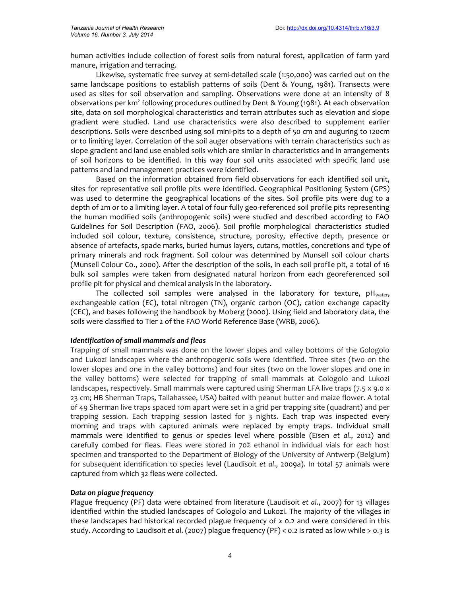human activities include collection of forest soils from natural forest, application of farm yard manure, irrigation and terracing.

Likewise, systematic free survey at semi-detailed scale (1:50,000) was carried out on the same landscape positions to establish patterns of soils (Dent & Young, 1981). Transects were used as sites for soil observation and sampling. Observations were done at an intensity of 8 observations per km<sup>2</sup> following procedures outlined by Dent & Young (1981). At each observation site, data on soil morphological characteristics and terrain attributes such as elevation and slope gradient were studied. Land use characteristics were also described to supplement earlier descriptions. Soils were described using soil mini-pits to a depth of 50 cm and auguring to 120cm or to limiting layer. Correlation of the soil auger observations with terrain characteristics such as slope gradient and land use enabled soils which are similar in characteristics and in arrangements of soil horizons to be identified. In this way four soil units associated with specific land use patterns and land management practices were identified.

Based on the information obtained from field observations for each identified soil unit, sites for representative soil profile pits were identified. Geographical Positioning System (GPS) was used to determine the geographical locations of the sites. Soil profile pits were dug to a depth of 2m or to a limiting layer. A total of four fully geo-referenced soil profile pits representing the human modified soils (anthropogenic soils) were studied and described according to FAO Guidelines for Soil Description (FAO, 2006). Soil profile morphological characteristics studied included soil colour, texture, consistence, structure, porosity, effective depth, presence or absence of artefacts, spade marks, buried humus layers, cutans, mottles, concretions and type of primary minerals and rock fragment. Soil colour was determined by Munsell soil colour charts (Munsell Colour Co., 2000). After the description of the soils, in each soil profile pit, a total of 16 bulk soil samples were taken from designated natural horizon from each georeferenced soil profile pit for physical and chemical analysis in the laboratory.

The collected soil samples were analysed in the laboratory for texture,  $pH_{water}$ , exchangeable cation (EC), total nitrogen (TN), organic carbon (OC), cation exchange capacity (CEC), and bases following the handbook by Moberg (2000). Using field and laboratory data, the soils were classified to Tier 2 of the FAO World Reference Base (WRB, 2006).

#### *Identification of small mammals and fleas*

Trapping of small mammals was done on the lower slopes and valley bottoms of the Gologolo and Lukozi landscapes where the anthropogenic soils were identified. Three sites (two on the lower slopes and one in the valley bottoms) and four sites (two on the lower slopes and one in the valley bottoms) were selected for trapping of small mammals at Gologolo and Lukozi landscapes, respectively. Small mammals were captured using Sherman LFA live traps (7.5 x 9.0 x 23 cm; HB Sherman Traps, Tallahassee, USA) baited with peanut butter and maize flower. A total of 49 Sherman live traps spaced 10m apart were set in a grid per trapping site (quadrant) and per trapping session. Each trapping session lasted for 3 nights. Each trap was inspected every morning and traps with captured animals were replaced by empty traps. Individual small mammals were identified to genus or species level where possible (Eisen *et al*., 2012) and carefully combed for fleas. Fleas were stored in 70% ethanol in individual vials for each host specimen and transported to the Department of Biology of the University of Antwerp (Belgium) for subsequent identification to species level (Laudisoit *et al*., 2009a). In total 57 animals were captured from which 32 fleas were collected.

### *Data on plague frequency*

Plague frequency (PF) data were obtained from literature (Laudisoit *et al*., 2007) for 13 villages identified within the studied landscapes of Gologolo and Lukozi. The majority of the villages in these landscapes had historical recorded plague frequency of  $\geq$  0.2 and were considered in this study. According to Laudisoit *et al*. (2007) plague frequency (PF) < 0.2 is rated as low while > 0.3 is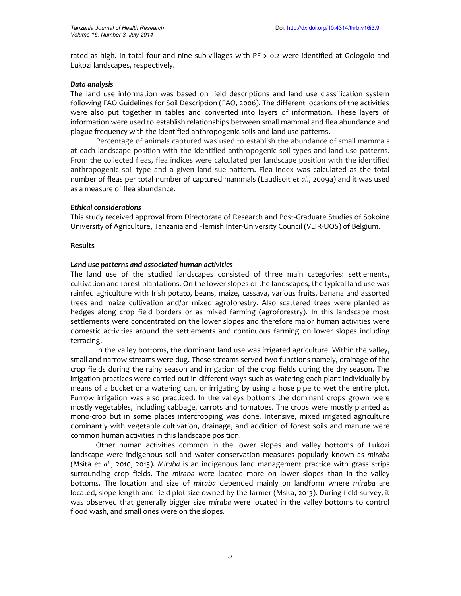rated as high. In total four and nine sub-villages with PF > 0.2 were identified at Gologolo and Lukozi landscapes, respectively.

## *Data analysis*

The land use information was based on field descriptions and land use classification system following FAO Guidelines for Soil Description (FAO, 2006). The different locations of the activities were also put together in tables and converted into layers of information. These layers of information were used to establish relationships between small mammal and flea abundance and plague frequency with the identified anthropogenic soils and land use patterns.

Percentage of animals captured was used to establish the abundance of small mammals at each landscape position with the identified anthropogenic soil types and land use patterns. From the collected fleas, flea indices were calculated per landscape position with the identified anthropogenic soil type and a given land sue pattern. Flea index was calculated as the total number of fleas per total number of captured mammals (Laudisoit *et al*., 2009a) and it was used as a measure of flea abundance.

## *Ethical considerations*

This study received approval from Directorate of Research and Post-Graduate Studies of Sokoine University of Agriculture, Tanzania and Flemish Inter-University Council (VLIR-UOS) of Belgium.

### **Results**

### *Land use patterns and associated human activities*

The land use of the studied landscapes consisted of three main categories: settlements, cultivation and forest plantations. On the lower slopes of the landscapes, the typical land use was rainfed agriculture with Irish potato, beans, maize, cassava, various fruits, banana and assorted trees and maize cultivation and/or mixed agroforestry. Also scattered trees were planted as hedges along crop field borders or as mixed farming (agroforestry). In this landscape most settlements were concentrated on the lower slopes and therefore major human activities were domestic activities around the settlements and continuous farming on lower slopes including terracing.

In the valley bottoms, the dominant land use was irrigated agriculture. Within the valley, small and narrow streams were dug. These streams served two functions namely, drainage of the crop fields during the rainy season and irrigation of the crop fields during the dry season. The irrigation practices were carried out in different ways such as watering each plant individually by means of a bucket or a watering can, or irrigating by using a hose pipe to wet the entire plot. Furrow irrigation was also practiced. In the valleys bottoms the dominant crops grown were mostly vegetables, including cabbage, carrots and tomatoes. The crops were mostly planted as mono-crop but in some places intercropping was done. Intensive, mixed irrigated agriculture dominantly with vegetable cultivation, drainage, and addition of forest soils and manure were common human activities in this landscape position.

Other human activities common in the lower slopes and valley bottoms of Lukozi landscape were indigenous soil and water conservation measures popularly known as *miraba* (Msita *et al*., 2010, 2013). *Miraba* is an indigenous land management practice with grass strips surrounding crop fields. The *miraba we*re located more on lower slopes than in the valley bottoms. The location and size of *miraba* depended mainly on landform where *miraba* are located, slope length and field plot size owned by the farmer (Msita, 2013). During field survey, it was observed that generally bigger size *miraba we*re located in the valley bottoms to control flood wash, and small ones were on the slopes.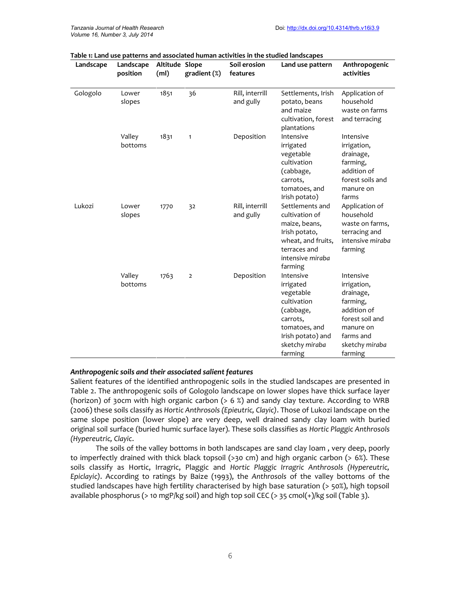| Landscape | Landscape<br>position | Altitude Slope<br>(ml) | gradient (%)   | Soil erosion<br>features     | Land use pattern                                                                                                                               | Anthropogenic<br>activities                                                                                                                |
|-----------|-----------------------|------------------------|----------------|------------------------------|------------------------------------------------------------------------------------------------------------------------------------------------|--------------------------------------------------------------------------------------------------------------------------------------------|
| Gologolo  | Lower<br>slopes       | 1851                   | 36             | Rill, interrill<br>and gully | Settlements, Irish<br>potato, beans<br>and maize<br>cultivation, forest<br>plantations                                                         | Application of<br>household<br>waste on farms<br>and terracing                                                                             |
|           | Valley<br>bottoms     | 1831                   | $\mathbf{1}$   | Deposition                   | Intensive<br>irrigated<br>vegetable<br>cultivation<br>(cabbage,<br>carrots,<br>tomatoes, and<br>Irish potato)                                  | Intensive<br>irrigation,<br>drainage,<br>farming,<br>addition of<br>forest soils and<br>manure on<br>farms                                 |
| Lukozi    | Lower<br>slopes       | 1770                   | 32             | Rill, interrill<br>and gully | Settlements and<br>cultivation of<br>maize, beans,<br>Irish potato,<br>wheat, and fruits,<br>terraces and<br>intensive miraba<br>farming       | Application of<br>household<br>waste on farms,<br>terracing and<br>intensive miraba<br>farming                                             |
|           | Valley<br>bottoms     | 1763                   | $\overline{2}$ | Deposition                   | Intensive<br>irrigated<br>vegetable<br>cultivation<br>(cabbage,<br>carrots,<br>tomatoes, and<br>Irish potato) and<br>sketchy miraba<br>farming | Intensive<br>irrigation,<br>drainage,<br>farming,<br>addition of<br>forest soil and<br>manure on<br>farms and<br>sketchy miraba<br>farming |

#### **Table 1: Land use patterns and associated human activities in the studied landscapes**

### *Anthropogenic soils and their associated salient features*

Salient features of the identified anthropogenic soils in the studied landscapes are presented in Table 2. The anthropogenic soils of Gologolo landscape on lower slopes have thick surface layer (horizon) of 30cm with high organic carbon ( $> 6\%$ ) and sandy clay texture. According to WRB (2006) these soils classify as *Hortic Anthrosols (Epieutric, Clayic)*. Those of Lukozi landscape on the same slope position (lower slope) are very deep, well drained sandy clay loam with buried original soil surface (buried humic surface layer). These soils classifies as *Hortic Plaggic Anthrosols (Hypereutric, Clayic*.

The soils of the valley bottoms in both landscapes are sand clay loam , very deep, poorly to imperfectly drained with thick black topsoil (>30 cm) and high organic carbon (> 6%). These soils classify as Hortic, Irragric, Plaggic and *Hortic Plaggic Irragric Anthrosols (Hypereutric, Epiclayic)*. According to ratings by Baize (1993), the *Anthrosols* of the valley bottoms of the studied landscapes have high fertility characterised by high base saturation (> 50%), high topsoil available phosphorus (> 10 mgP/kg soil) and high top soil CEC (> 35 cmol(+)/kg soil (Table 3).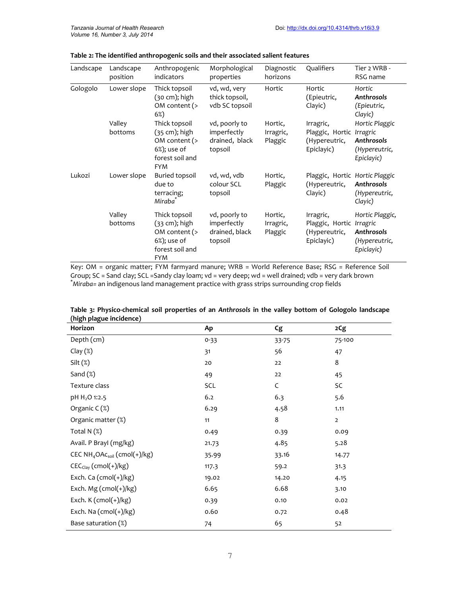| Landscape | Landscape<br>position | Anthropogenic<br>indicators                                                                                 | Morphological<br>properties                               | Diagnostic<br>horizons          | Qualifiers                                                           | Tier 2 WRB -<br>RSG name                                     |
|-----------|-----------------------|-------------------------------------------------------------------------------------------------------------|-----------------------------------------------------------|---------------------------------|----------------------------------------------------------------------|--------------------------------------------------------------|
| Gologolo  | Lower slope           | Thick topsoil<br>(30 cm); high<br>OM content $($<br>$6\%)$                                                  | vd, wd, very<br>thick topsoil,<br>vdb SC topsoil          | Hortic                          | Hortic<br>(Epieutric,<br>Clayic)                                     | Hortic<br>Anthrosols<br>(Epieutric,<br>Clayic)               |
|           | Valley<br>bottoms     | Thick topsoil<br>$(35 \text{ cm})$ ; high<br>OM content $($<br>6%); use of<br>forest soil and<br><b>FYM</b> | vd, poorly to<br>imperfectly<br>drained, black<br>topsoil | Hortic,<br>Irragric,<br>Plaggic | Irragric,<br>Plaggic, Hortic Irragric<br>(Hypereutric,<br>Epiclayic) | Hortic Plaggic<br>Anthrosols<br>(Hypereutric,<br>Epiclayic)  |
| Lukozi    | Lower slope           | <b>Buried topsoil</b><br>due to<br>terracing;<br>Miraba <sup>^</sup>                                        | vd, wd, vdb<br>colour SCL<br>topsoil                      | Hortic,<br>Plaggic              | Plaggic, Hortic Hortic Plaggic<br>(Hypereutric,<br>Clayic)           | Anthrosols<br>(Hypereutric,<br>Clayic)                       |
|           | Valley<br>bottoms     | Thick topsoil<br>$(33 \text{ cm})$ ; high<br>OM content $($<br>6%); use of<br>forest soil and<br><b>FYM</b> | vd, poorly to<br>imperfectly<br>drained, black<br>topsoil | Hortic,<br>Irragric,<br>Plaggic | Irragric,<br>Plaggic, Hortic Irragric<br>(Hypereutric,<br>Epiclayic) | Hortic Plaggic,<br>Anthrosols<br>(Hypereutric,<br>Epiclayic) |

#### **Table 2: The identified anthropogenic soils and their associated salient features**

Key: OM = organic matter; FYM farmyard manure; WRB = World Reference Base; RSG = Reference Soil Group; SC = Sand clay; SCL =Sandy clay loam; vd = very deep; wd = well drained; vdb = very dark brown \**Miraba=* an indigenous land management practice with grass strips surrounding crop fields

| $1 - 5 - 7 - 5$<br>Horizon                           | Ap       | Cg    | 2Cg            |
|------------------------------------------------------|----------|-------|----------------|
| Depth (cm)                                           | $0 - 33$ | 33-75 | 75-100         |
| Clay(%)                                              | 31       | 56    | 47             |
| $Silt (\%)$                                          | 20       | 22    | 8              |
| Sand $(\%)$                                          | 49       | 22    | 45             |
| Texture class                                        | SCL      | C     | SC             |
| pH H <sub>2</sub> O 1:2.5                            | 6.2      | 6.3   | 5.6            |
| Organic $C(\%)$                                      | 6.29     | 4.58  | 1.11           |
| Organic matter (%)                                   | 11       | 8     | $\overline{2}$ |
| Total $N$ $(\%)$                                     | 0.49     | 0.39  | 0.09           |
| Avail. P Brayl (mg/kg)                               | 21.73    | 4.85  | 5.28           |
| CEC NH <sub>4</sub> OAc <sub>soil</sub> (cmol(+)/kg) | 35.99    | 33.16 | 14.77          |
| $CEC_{clav}$ (cmol(+)/kg)                            | 117.3    | 59.2  | 31.3           |
| Exch. Ca $(\text{cmol}(+)$ /kg)                      | 19.02    | 14.20 | 4.15           |
| Exch. $Mg$ (cmol(+)/kg)                              | 6.65     | 6.68  | 3.10           |
| Exch. $K$ (cmol(+)/kg)                               | 0.39     | 0.10  | 0.02           |
| Exch. Na $(\text{cmol}(+)$ /kg)                      | 0.60     | 0.72  | 0.48           |
| Base saturation (%)                                  | 74       | 65    | 52             |

**Table 3: Physico-chemical soil properties of an** *Anthrosols* **in the valley bottom of Gologolo landscape (high plague incidence)**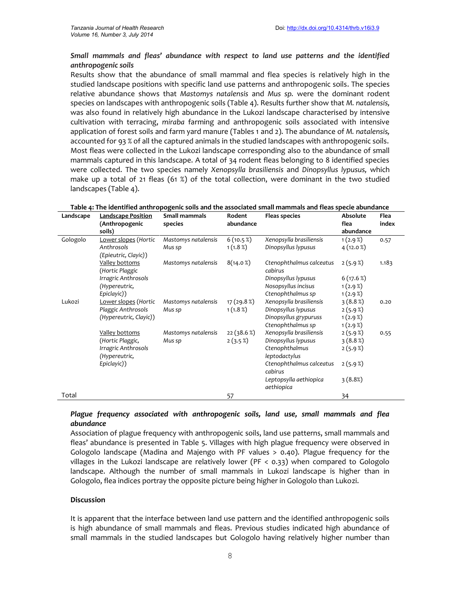# *Small mammals and fleas' abundance with respect to land use patterns and the identified anthropogenic soils*

Results show that the abundance of small mammal and flea species is relatively high in the studied landscape positions with specific land use patterns and anthropogenic soils. The species relative abundance shows that *Mastomys natalensis* and *Mus sp.* were the dominant rodent species on landscapes with anthropogenic soils (Table 4). Results further show that *M. natalensis,* was also found in relatively high abundance in the Lukozi landscape characterised by intensive cultivation with terracing, *miraba* farming and anthropogenic soils associated with intensive application of forest soils and farm yard manure (Tables 1 and 2). The abundance of *M. natalensis,* accounted for 93 % of all the captured animals in the studied landscapes with anthropogenic soils. Most fleas were collected in the Lukozi landscape corresponding also to the abundance of small mammals captured in this landscape. A total of 34 rodent fleas belonging to 8 identified species were collected. The two species namely *Xenopsylla brasiliensis* and *Dinopsyllus lypusus,* which make up a total of 21 fleas (61 %) of the total collection, were dominant in the two studied landscapes (Table 4).

| Landscape | <b>Landscape Position</b><br>(Anthropogenic<br>soils)                                    | <b>Small mammals</b><br>species | Rodent<br>abundance  | <b>Fleas species</b>                                                                                   | <b>Absolute</b><br>flea<br>abundance      | Flea<br>index |
|-----------|------------------------------------------------------------------------------------------|---------------------------------|----------------------|--------------------------------------------------------------------------------------------------------|-------------------------------------------|---------------|
| Gologolo  | Lower slopes (Hortic<br>Anthrosols<br>(Epieutric, Clayic))                               | Mastomys natalensis<br>Mus sp   | 6(10.5%)<br>1(1.8%)  | Xenopsylla brasiliensis<br>Dinopsyllus lypusus                                                         | 1(2.9%)<br>4(12.0%)                       | 0.57          |
|           | Valley bottoms<br>(Hortic Plaggic<br>Irragric Anthrosols<br>(Hypereutric,<br>Epiclayic)) | Mastomys natalensis             | 8(14.0%)             | Ctenophthalmus calceatus<br>cabirus<br>Dinopsyllus lypusus<br>Nosopsyllus incisus<br>Ctenophthalmus sp | 2(5.9%)<br>6(17.6%)<br>1(2.9%)<br>1(2.9%) | 1.183         |
| Lukozi    | Lower slopes (Hortic<br>Plaggic Anthrosols<br>(Hypereutric, Clayic))                     | Mastomys natalensis<br>Mus sp   | 17(29.8%)<br>1(1.8%) | Xenopsylla brasiliensis<br>Dinopsyllus lypusus<br>Dinopsyllus grypuruss<br>Ctenophthalmus sp           | 3(8.8%)<br>2(5.9%)<br>1(2.9%)<br>1(2.9%)  | 0.20          |
|           | Valley bottoms<br>(Hortic Plaggic,<br>Irragric Anthrosols<br>(Hypereutric,               | Mastomys natalensis<br>Mus sp   | 22(38.6%)<br>2(3.5%) | Xenopsylla brasiliensis<br>Dinopsyllus lypusus<br>Ctenophthalmus<br>leptodactylus                      | 2(5.9%)<br>3(8.8%)<br>2(5.9%)             | 0.55          |
|           | Epiclayic))                                                                              |                                 |                      | Ctenophthalmus calceatus<br>cabirus<br>Leptopsylla aethiopica                                          | 2(5.9%)<br>3(8.8%)                        |               |
| Total     |                                                                                          |                                 | 57                   | aethiopica                                                                                             | 34                                        |               |

# *Plague frequency associated with anthropogenic soils, land use, small mammals and flea abundance*

Association of plague frequency with anthropogenic soils, land use patterns, small mammals and fleas' abundance is presented in Table 5. Villages with high plague frequency were observed in Gologolo landscape (Madina and Majengo with PF values > 0.40). Plague frequency for the villages in the Lukozi landscape are relatively lower (PF < 0.33) when compared to Gologolo landscape. Although the number of small mammals in Lukozi landscape is higher than in Gologolo, flea indices portray the opposite picture being higher in Gologolo than Lukozi.

### **Discussion**

It is apparent that the interface between land use pattern and the identified anthropogenic soils is high abundance of small mammals and fleas. Previous studies indicated high abundance of small mammals in the studied landscapes but Gologolo having relatively higher number than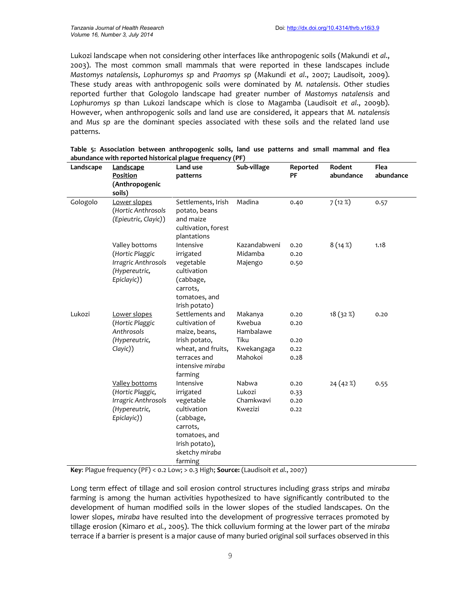Lukozi landscape when not considering other interfaces like anthropogenic soils (Makundi *et al*., 2003). The most common small mammals that were reported in these landscapes include *Mastomys natalensis*, *Lophuromys sp* and *Praomys sp* (Makundi *et al*., 2007; Laudisoit, 2009). These study areas with anthropogenic soils were dominated by *M. natalensis*. Other studies reported further that Gologolo landscape had greater number of *Mastomys natalensis* and *Lophuromys sp* than Lukozi landscape which is close to Magamba (Laudisoit *et al*., 2009b). However, when anthropogenic soils and land use are considered, it appears that *M. natalensis* and *Mus sp* are the dominant species associated with these soils and the related land use patterns.

| Landscape | Landscape<br>Position<br>(Anthropogenic<br>soils)          | Land use<br>patterns                                                                   | Sub-village         | Reported<br>PF | Rodent<br>abundance | Flea<br>abundance |
|-----------|------------------------------------------------------------|----------------------------------------------------------------------------------------|---------------------|----------------|---------------------|-------------------|
| Gologolo  | Lower slopes<br>(Hortic Anthrosols<br>(Epieutric, Clayic)) | Settlements, Irish<br>potato, beans<br>and maize<br>cultivation, forest<br>plantations | Madina              | 0.40           | 7(12%)              | 0.57              |
|           | Valley bottoms                                             | Intensive                                                                              | Kazandabweni        | 0.20           | 8(14%)              | 1.18              |
|           | (Hortic Plaggic                                            | irrigated                                                                              | Midamba             | 0.20           |                     |                   |
|           | Irragric Anthrosols<br>(Hypereutric,<br>Epiclayic))        | vegetable<br>cultivation<br>(cabbage,<br>carrots,<br>tomatoes, and<br>Irish potato)    | Majengo             | 0.50           |                     |                   |
| Lukozi    | Lower slopes                                               | Settlements and                                                                        | Makanya             | 0.20           | 18 (32 %)           | 0.20              |
|           | (Hortic Plaggic<br>Anthrosols                              | cultivation of<br>maize, beans,                                                        | Kwebua<br>Hambalawe | 0.20           |                     |                   |
|           | (Hypereutric,                                              | Irish potato,                                                                          | Tiku                | 0.20           |                     |                   |
|           | Clayic))                                                   | wheat, and fruits,                                                                     | Kwekangaga          | 0.22           |                     |                   |
|           |                                                            | terraces and<br>intensive miraba<br>farming                                            | Mahokoi             | 0.28           |                     |                   |
|           | <b>Valley bottoms</b>                                      | Intensive                                                                              | Nabwa               | 0.20           | 24 (42%)            | 0.55              |
|           | (Hortic Plaggic,                                           | irrigated                                                                              | Lukozi              | 0.33           |                     |                   |
|           | Irragric Anthrosols                                        | vegetable                                                                              | Chamkwavi           | 0.20           |                     |                   |
|           | (Hypereutric,                                              | cultivation                                                                            | Kwezizi             | 0.22           |                     |                   |
|           | Epiclayic))                                                | (cabbage,<br>carrots,<br>tomatoes, and<br>Irish potato),<br>sketchy miraba             |                     |                |                     |                   |
|           |                                                            | farming                                                                                |                     |                |                     |                   |

|                                                          |  |  | Table 5: Association between anthropogenic soils, land use patterns and small mammal and flea |  |  |  |  |  |  |  |  |  |  |
|----------------------------------------------------------|--|--|-----------------------------------------------------------------------------------------------|--|--|--|--|--|--|--|--|--|--|
| abundance with reported historical plague frequency (PF) |  |  |                                                                                               |  |  |  |  |  |  |  |  |  |  |

**Key**: Plague frequency (PF) < 0.2 Low; > 0.3 High; **Source:** (Laudisoit *et al*., 2007)

Long term effect of tillage and soil erosion control structures including grass strips and *miraba* farming is among the human activities hypothesized to have significantly contributed to the development of human modified soils in the lower slopes of the studied landscapes. On the lower slopes, *miraba* have resulted into the development of progressive terraces promoted by tillage erosion (Kimaro *et al.*, 2005). The thick colluvium forming at the lower part of the *miraba* terrace if a barrier is present is a major cause of many buried original soil surfaces observed in this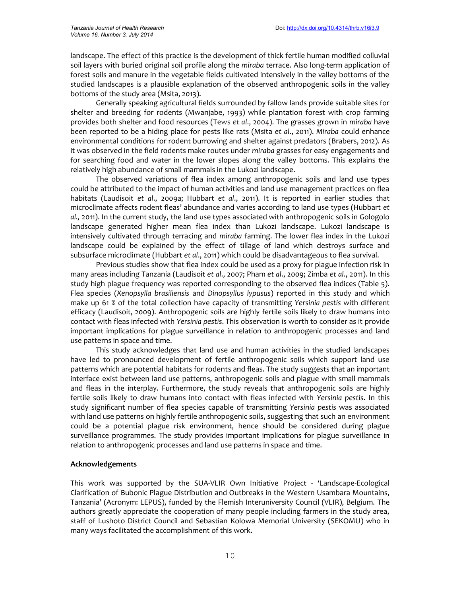landscape. The effect of this practice is the development of thick fertile human modified colluvial soil layers with buried original soil profile along the *miraba* terrace. Also long-term application of forest soils and manure in the vegetable fields cultivated intensively in the valley bottoms of the studied landscapes is a plausible explanation of the observed anthropogenic soils in the valley bottoms of the study area (Msita, 2013).

Generally speaking agricultural fields surrounded by fallow lands provide suitable sites for shelter and breeding for rodents (Mwanjabe, 1993) while plantation forest with crop farming provides both shelter and food resources (Tews *et al*., 2004). The grasses grown in *miraba* have been reported to be a hiding place for pests like rats (Msita *et al*., 2011). *Miraba* could enhance environmental conditions for rodent burrowing and shelter against predators (Brabers, 2012). As it was observed in the field rodents make routes under *miraba* grasses for easy engagements and for searching food and water in the lower slopes along the valley bottoms. This explains the relatively high abundance of small mammals in the Lukozi landscape.

The observed variations of flea index among anthropogenic soils and land use types could be attributed to the impact of human activities and land use management practices on flea habitats (Laudisoit *et al*., 2009a; Hubbart *et al*., 2011). It is reported in earlier studies that microclimate affects rodent fleas' abundance and varies according to land use types (Hubbart *et al.,* 2011). In the current study, the land use types associated with anthropogenic soils in Gologolo landscape generated higher mean flea index than Lukozi landscape. Lukozi landscape is intensively cultivated through terracing and *miraba* farming. The lower flea index in the Lukozi landscape could be explained by the effect of tillage of land which destroys surface and subsurface microclimate (Hubbart *et al*., 2011) which could be disadvantageous to flea survival.

Previous studies show that flea index could be used as a proxy for plague infection risk in many areas including Tanzania (Laudisoit *et al*., 2007; Pham *et al*., 2009; Zimba *et al*., 2011). In this study high plague frequency was reported corresponding to the observed flea indices (Table 5). Flea species (*Xenopsylla brasiliensis* and *Dinopsyllus lypusus*) reported in this study and which make up 61 % of the total collection have capacity of transmitting *Yersinia pestis* with different efficacy (Laudisoit, 2009). Anthropogenic soils are highly fertile soils likely to draw humans into contact with fleas infected with *Yersinia pestis*. This observation is worth to consider as it provide important implications for plague surveillance in relation to anthropogenic processes and land use patterns in space and time.

This study acknowledges that land use and human activities in the studied landscapes have led to pronounced development of fertile anthropogenic soils which support land use patterns which are potential habitats for rodents and fleas. The study suggests that an important interface exist between land use patterns, anthropogenic soils and plague with small mammals and fleas in the interplay. Furthermore, the study reveals that anthropogenic soils are highly fertile soils likely to draw humans into contact with fleas infected with *Yersinia pestis*. In this study significant number of flea species capable of transmitting *Yersinia pestis* was associated with land use patterns on highly fertile anthropogenic soils, suggesting that such an environment could be a potential plague risk environment, hence should be considered during plague surveillance programmes. The study provides important implications for plague surveillance in relation to anthropogenic processes and land use patterns in space and time.

# **Acknowledgements**

This work was supported by the SUA-VLIR Own Initiative Project -'Landscape-Ecological Clarification of Bubonic Plague Distribution and Outbreaks in the Western Usambara Mountains, Tanzania' (Acronym: LEPUS), funded by the Flemish Interuniversity Council (VLIR), Belgium. The authors greatly appreciate the cooperation of many people including farmers in the study area, staff of Lushoto District Council and Sebastian Kolowa Memorial University (SEKOMU) who in many ways facilitated the accomplishment of this work.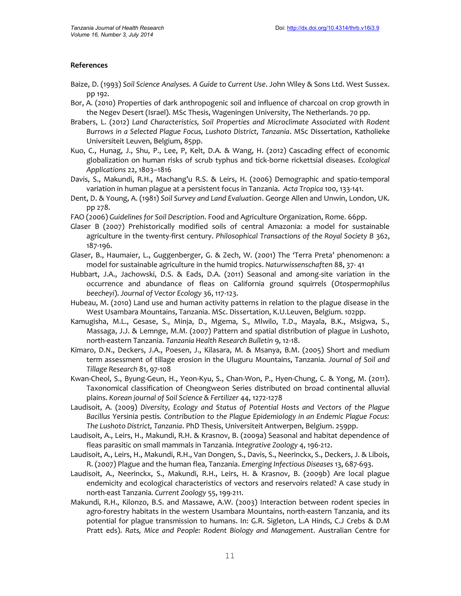## **References**

- Baize, D. (1993) *Soil Science Analyses. A Guide to Current Use*. John Wiley & Sons Ltd. West Sussex. pp 192.
- Bor, A. (2010) Properties of dark anthropogenic soil and influence of charcoal on crop growth in the Negev Desert (Israel). MSc Thesis, Wageningen University, The Netherlands. 70 pp.
- Brabers, L. (2012) *Land Characteristics, Soil Properties and Microclimate Associated with Rodent Burrows in a Selected Plague Focus, Lushoto District, Tanzania*. MSc Dissertation, Katholieke Universiteit Leuven, Belgium, 85pp.
- Kuo, C., Hunag, J., Shu, P., Lee, P, Kelt, D.A. & Wang, H. (2012) Cascading effect of economic globalization on human risks of scrub typhus and tick-borne rickettsial diseases. *Ecological Applications* 22, 1803–1816
- Davis, S., Makundi, R.H., Machang'u R.S. & Leirs, H. (2006) Demographic and spatio-temporal variation in human plague at a persistent focus in Tanzania. *Acta Tropica* 100, 133-141.
- Dent, D. & Young, A. (1981) *Soil Survey and Land Evaluation*. George Allen and Unwin, London, UK. pp 278.
- FAO (2006) *Guidelines for Soil Description*. Food and Agriculture Organization, Rome. 66pp.
- Glaser B (2007) Prehistorically modified soils of central Amazonia: a model for sustainable agriculture in the twenty-first century. *Philosophical Transactions of the Royal Society B* 362, 187-196.
- Glaser, B., Haumaier, L., Guggenberger, G. & Zech, W. (2001) The 'Terra Preta' phenomenon: a model for sustainable agriculture in the humid tropics. *Naturwissenschaften* 88, 37- 41
- Hubbart, J.A., Jachowski, D.S. & Eads, D.A. (2011) Seasonal and among-site variation in the occurrence and abundance of fleas on California ground squirrels (*Otospermophilus beecheyi*). *Journal of Vector Ecology* 36, 117-123.
- Hubeau, M. (2010) Land use and human activity patterns in relation to the plague disease in the West Usambara Mountains, Tanzania. MSc. Dissertation, K.U.Leuven, Belgium. 102pp.
- Kamugisha, M.L., Gesase, S., Minja, D., Mgema, S., Mlwilo, T.D., Mayala, B.K., Msigwa, S., Massaga, J.J. & Lemnge, M.M. (2007) Pattern and spatial distribution of plague in Lushoto, north-eastern Tanzania. *Tanzania Health Research Bulletin* 9, 12-18.
- Kimaro, D.N., Deckers, J.A., Poesen, J., Kilasara, M. & Msanya, B.M. (2005) Short and medium term assessment of tillage erosion in the Uluguru Mountains, Tanzania. *Journal of Soil and Tillage Research* 81, 97-108
- Kwan-Cheol, S., Byung-Geun, H., Yeon-Kyu, S., Chan-Won, P., Hyen-Chung, C. & Yong, M. (2011). Taxonomical classification of Cheongweon Series distributed on broad continental alluvial plains. *Korean journal of Soil Science & Fertilizer* 44, 1272-1278
- Laudisoit, A. (2009) *Diversity, Ecology and Status of Potential Hosts and Vectors of the Plague Bacillus* Yersinia pestis*. Contribution to the Plague Epidemiology in an Endemic Plague Focus: The Lushoto District, Tanzania*. PhD Thesis, Universiteit Antwerpen, Belgium. 259pp.
- Laudisoit, A., Leirs, H., Makundi, R.H. & Krasnov, B. (2009a) Seasonal and habitat dependence of fleas parasitic on small mammals in Tanzania*. Integrative Zoology* 4, 196-212.
- Laudisoit, A., Leirs, H., Makundi, R.H., Van Dongen, S., Davis, S., Neerinckx, S., Deckers, J. & Libois, R. (2007) Plague and the human flea, Tanzania. *Emerging Infectious Diseases* 13, 687-693.
- Laudisoit, A., Neerinckx, S., Makundi, R.H., Leirs, H. & Krasnov, B. (2009b) Are local plague endemicity and ecological characteristics of vectors and reservoirs related? A case study in north-east Tanzania*. Current Zoology* 55, 199-211.
- Makundi, R.H., Kilonzo, B.S. and Massawe, A.W. (2003) Interaction between rodent species in agro-forestry habitats in the western Usambara Mountains, north-eastern Tanzania, and its potential for plague transmission to humans. In: G.R. Sigleton, L.A Hinds, C.J Crebs & D.M Pratt eds). *Rats, Mice and People: Rodent Biology and Management.* Australian Centre for